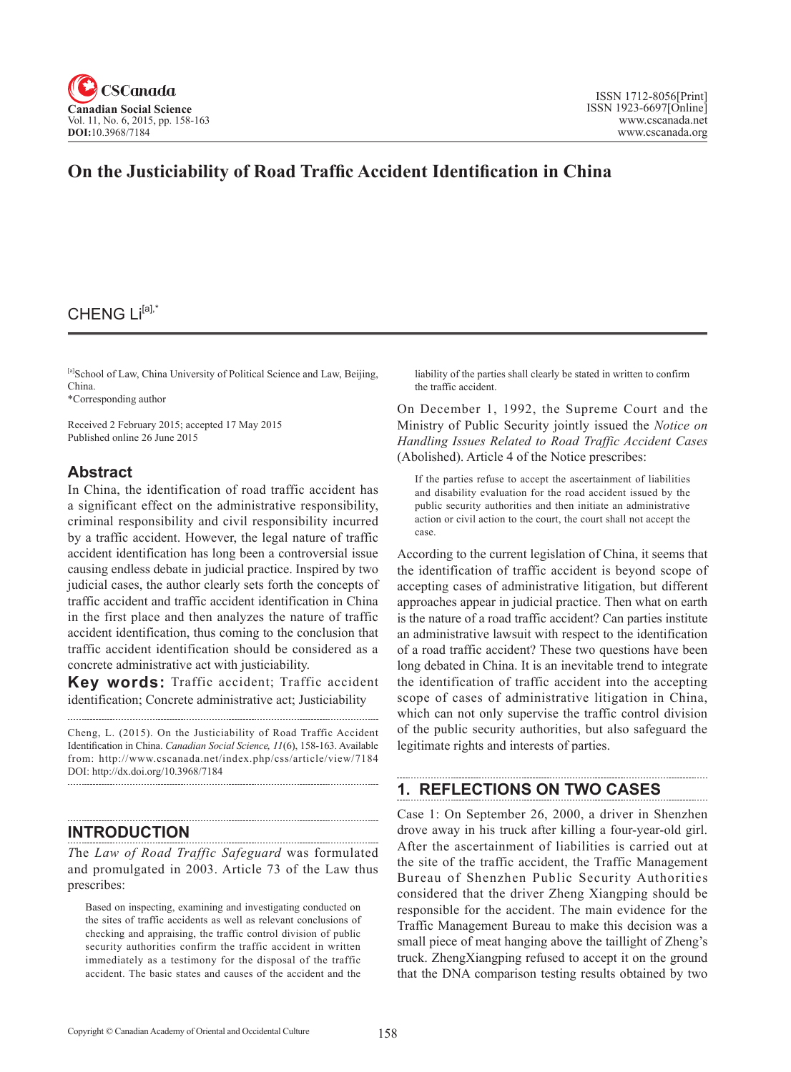

# **On the Justiciability of Road Traffic Accident Identification in China**

## CHENG Li<sup>[a],\*</sup>

[a]School of Law, China University of Political Science and Law, Beijing, China.

\*Corresponding author

Received 2 February 2015; accepted 17 May 2015 Published online 26 June 2015

## **Abstract**

In China, the identification of road traffic accident has a significant effect on the administrative responsibility, criminal responsibility and civil responsibility incurred by a traffic accident. However, the legal nature of traffic accident identification has long been a controversial issue causing endless debate in judicial practice. Inspired by two judicial cases, the author clearly sets forth the concepts of traffic accident and traffic accident identification in China in the first place and then analyzes the nature of traffic accident identification, thus coming to the conclusion that traffic accident identification should be considered as a concrete administrative act with justiciability.

**Key words:** Traffic accident; Traffic accident identification; Concrete administrative act; Justiciability

Cheng, L. (2015). On the Justiciability of Road Traffic Accident Identification in China. *Canadian Social Science*, <sup>11</sup>(6), 158-163. Available from: http://www.cscanada.net/index.php/css/article/view/7184 DOI: http://dx.doi.org/10.3968/7184

## **INTRODUCTION**

*T*he *Law of Road Traffic Safeguard* was formulated and promulgated in 2003. Article 73 of the Law thus prescribes:

Based on inspecting, examining and investigating conducted on the sites of traffic accidents as well as relevant conclusions of checking and appraising, the traffic control division of public security authorities confirm the traffic accident in written immediately as a testimony for the disposal of the traffic accident. The basic states and causes of the accident and the

liability of the parties shall clearly be stated in written to confirm the traffic accident.

On December 1, 1992, the Supreme Court and the Ministry of Public Security jointly issued the *Notice on Handling Issues Related to Road Traffic Accident Cases* (Abolished). Article 4 of the Notice prescribes:

If the parties refuse to accept the ascertainment of liabilities and disability evaluation for the road accident issued by the public security authorities and then initiate an administrative action or civil action to the court, the court shall not accept the case.

According to the current legislation of China, it seems that the identification of traffic accident is beyond scope of accepting cases of administrative litigation, but different approaches appear in judicial practice. Then what on earth is the nature of a road traffic accident? Can parties institute an administrative lawsuit with respect to the identification of a road traffic accident? These two questions have been long debated in China. It is an inevitable trend to integrate the identification of traffic accident into the accepting scope of cases of administrative litigation in China, which can not only supervise the traffic control division of the public security authorities, but also safeguard the legitimate rights and interests of parties.

## **1. REFLECTIONS ON TWO CASES**

Case 1: On September 26, 2000, a driver in Shenzhen drove away in his truck after killing a four-year-old girl. After the ascertainment of liabilities is carried out at the site of the traffic accident, the Traffic Management Bureau of Shenzhen Public Security Authorities considered that the driver Zheng Xiangping should be responsible for the accident. The main evidence for the Traffic Management Bureau to make this decision was a small piece of meat hanging above the taillight of Zheng's truck. ZhengXiangping refused to accept it on the ground that the DNA comparison testing results obtained by two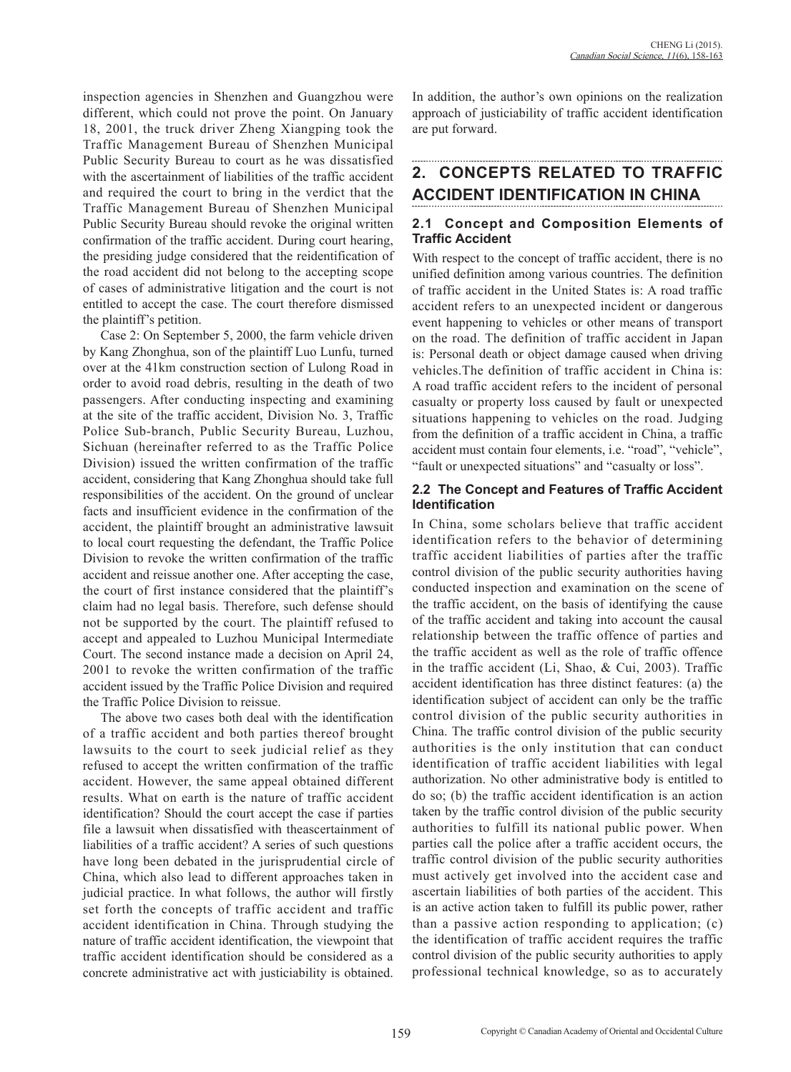inspection agencies in Shenzhen and Guangzhou were different, which could not prove the point. On January 18, 2001, the truck driver Zheng Xiangping took the Traffic Management Bureau of Shenzhen Municipal Public Security Bureau to court as he was dissatisfied with the ascertainment of liabilities of the traffic accident and required the court to bring in the verdict that the Traffic Management Bureau of Shenzhen Municipal Public Security Bureau should revoke the original written confirmation of the traffic accident. During court hearing, the presiding judge considered that the reidentification of the road accident did not belong to the accepting scope of cases of administrative litigation and the court is not entitled to accept the case. The court therefore dismissed the plaintiff's petition.

Case 2: On September 5, 2000, the farm vehicle driven by Kang Zhonghua, son of the plaintiff Luo Lunfu, turned over at the 41km construction section of Lulong Road in order to avoid road debris, resulting in the death of two passengers. After conducting inspecting and examining at the site of the traffic accident, Division No. 3, Traffic Police Sub-branch, Public Security Bureau, Luzhou, Sichuan (hereinafter referred to as the Traffic Police Division) issued the written confirmation of the traffic accident, considering that Kang Zhonghua should take full responsibilities of the accident. On the ground of unclear facts and insufficient evidence in the confirmation of the accident, the plaintiff brought an administrative lawsuit to local court requesting the defendant, the Traffic Police Division to revoke the written confirmation of the traffic accident and reissue another one. After accepting the case, the court of first instance considered that the plaintiff's claim had no legal basis. Therefore, such defense should not be supported by the court. The plaintiff refused to accept and appealed to Luzhou Municipal Intermediate Court. The second instance made a decision on April 24, 2001 to revoke the written confirmation of the traffic accident issued by the Traffic Police Division and required the Traffic Police Division to reissue.

The above two cases both deal with the identification of a traffic accident and both parties thereof brought lawsuits to the court to seek judicial relief as they refused to accept the written confirmation of the traffic accident. However, the same appeal obtained different results. What on earth is the nature of traffic accident identification? Should the court accept the case if parties file a lawsuit when dissatisfied with theascertainment of liabilities of a traffic accident? A series of such questions have long been debated in the jurisprudential circle of China, which also lead to different approaches taken in judicial practice. In what follows, the author will firstly set forth the concepts of traffic accident and traffic accident identification in China. Through studying the nature of traffic accident identification, the viewpoint that traffic accident identification should be considered as a concrete administrative act with justiciability is obtained.

In addition, the author's own opinions on the realization approach of justiciability of traffic accident identification are put forward.

# **2. CONCEPTS RELATED TO TRAFFIC ACCIDENT IDENTIFICATION IN CHINA**

### **2.1 Concept and Composition Elements of Traffic Accident**

With respect to the concept of traffic accident, there is no unified definition among various countries. The definition of traffic accident in the United States is: A road traffic accident refers to an unexpected incident or dangerous event happening to vehicles or other means of transport on the road. The definition of traffic accident in Japan is: Personal death or object damage caused when driving vehicles.The definition of traffic accident in China is: A road traffic accident refers to the incident of personal casualty or property loss caused by fault or unexpected situations happening to vehicles on the road. Judging from the definition of a traffic accident in China, a traffic accident must contain four elements, i.e. "road", "vehicle", "fault or unexpected situations" and "casualty or loss".

#### **2.2 The Concept and Features of Traffic Accident Identification**

In China, some scholars believe that traffic accident identification refers to the behavior of determining traffic accident liabilities of parties after the traffic control division of the public security authorities having conducted inspection and examination on the scene of the traffic accident, on the basis of identifying the cause of the traffic accident and taking into account the causal relationship between the traffic offence of parties and the traffic accident as well as the role of traffic offence in the traffic accident (Li, Shao, & Cui, 2003). Traffic accident identification has three distinct features: (a) the identification subject of accident can only be the traffic control division of the public security authorities in China. The traffic control division of the public security authorities is the only institution that can conduct identification of traffic accident liabilities with legal authorization. No other administrative body is entitled to do so; (b) the traffic accident identification is an action taken by the traffic control division of the public security authorities to fulfill its national public power. When parties call the police after a traffic accident occurs, the traffic control division of the public security authorities must actively get involved into the accident case and ascertain liabilities of both parties of the accident. This is an active action taken to fulfill its public power, rather than a passive action responding to application; (c) the identification of traffic accident requires the traffic control division of the public security authorities to apply professional technical knowledge, so as to accurately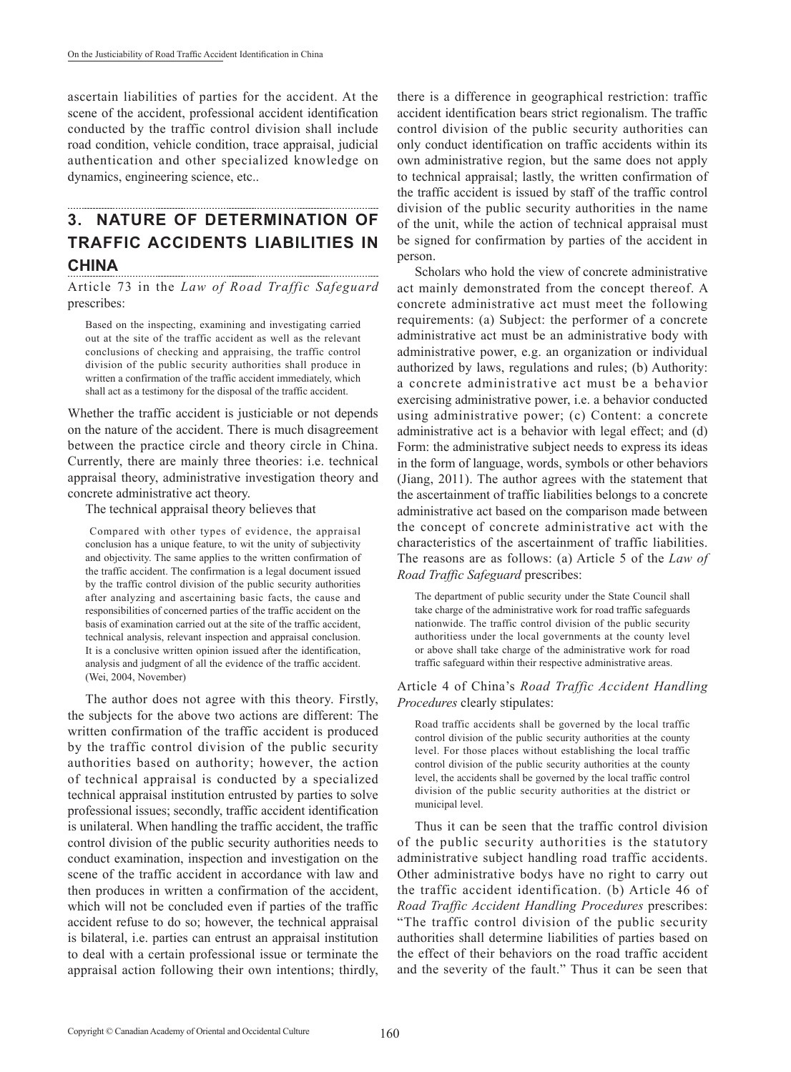ascertain liabilities of parties for the accident. At the scene of the accident, professional accident identification conducted by the traffic control division shall include road condition, vehicle condition, trace appraisal, judicial authentication and other specialized knowledge on dynamics, engineering science, etc..

### **3. NATURE OF DETERMINATION OF TRAFFIC ACCIDENTS LIABILITIES IN CHINA**

Article 73 in the *Law of Road Traffic Safeguard* prescribes:

Based on the inspecting, examining and investigating carried out at the site of the traffic accident as well as the relevant conclusions of checking and appraising, the traffic control division of the public security authorities shall produce in written a confirmation of the traffic accident immediately, which shall act as a testimony for the disposal of the traffic accident.

Whether the traffic accident is justiciable or not depends on the nature of the accident. There is much disagreement between the practice circle and theory circle in China. Currently, there are mainly three theories: i.e. technical appraisal theory, administrative investigation theory and concrete administrative act theory.

The technical appraisal theory believes that

 Compared with other types of evidence, the appraisal conclusion has a unique feature, to wit the unity of subjectivity and objectivity. The same applies to the written confirmation of the traffic accident. The confirmation is a legal document issued by the traffic control division of the public security authorities after analyzing and ascertaining basic facts, the cause and responsibilities of concerned parties of the traffic accident on the basis of examination carried out at the site of the traffic accident, technical analysis, relevant inspection and appraisal conclusion. It is a conclusive written opinion issued after the identification, analysis and judgment of all the evidence of the traffic accident. (Wei, 2004, November)

The author does not agree with this theory. Firstly, the subjects for the above two actions are different: The written confirmation of the traffic accident is produced by the traffic control division of the public security authorities based on authority; however, the action of technical appraisal is conducted by a specialized technical appraisal institution entrusted by parties to solve professional issues; secondly, traffic accident identification is unilateral. When handling the traffic accident, the traffic control division of the public security authorities needs to conduct examination, inspection and investigation on the scene of the traffic accident in accordance with law and then produces in written a confirmation of the accident, which will not be concluded even if parties of the traffic accident refuse to do so; however, the technical appraisal is bilateral, i.e. parties can entrust an appraisal institution to deal with a certain professional issue or terminate the appraisal action following their own intentions; thirdly, there is a difference in geographical restriction: traffic accident identification bears strict regionalism. The traffic control division of the public security authorities can only conduct identification on traffic accidents within its own administrative region, but the same does not apply to technical appraisal; lastly, the written confirmation of the traffic accident is issued by staff of the traffic control division of the public security authorities in the name of the unit, while the action of technical appraisal must be signed for confirmation by parties of the accident in person.

Scholars who hold the view of concrete administrative act mainly demonstrated from the concept thereof. A concrete administrative act must meet the following requirements: (a) Subject: the performer of a concrete administrative act must be an administrative body with administrative power, e.g. an organization or individual authorized by laws, regulations and rules; (b) Authority: a concrete administrative act must be a behavior exercising administrative power, i.e. a behavior conducted using administrative power; (c) Content: a concrete administrative act is a behavior with legal effect; and (d) Form: the administrative subject needs to express its ideas in the form of language, words, symbols or other behaviors (Jiang, 2011). The author agrees with the statement that the ascertainment of traffic liabilities belongs to a concrete administrative act based on the comparison made between the concept of concrete administrative act with the characteristics of the ascertainment of traffic liabilities. The reasons are as follows: (a) Article 5 of the *Law of Road Traffic Safeguard* prescribes:

The department of public security under the State Council shall take charge of the administrative work for road traffic safeguards nationwide. The traffic control division of the public security authoritiess under the local governments at the county level or above shall take charge of the administrative work for road traffic safeguard within their respective administrative areas.

Article 4 of China's *Road Traffic Accident Handling Procedures* clearly stipulates:

Road traffic accidents shall be governed by the local traffic control division of the public security authorities at the county level. For those places without establishing the local traffic control division of the public security authorities at the county level, the accidents shall be governed by the local traffic control division of the public security authorities at the district or municipal level.

Thus it can be seen that the traffic control division of the public security authorities is the statutory administrative subject handling road traffic accidents. Other administrative bodys have no right to carry out the traffic accident identification. (b) Article 46 of *Road Traffic Accident Handling Procedures* prescribes: "The traffic control division of the public security authorities shall determine liabilities of parties based on the effect of their behaviors on the road traffic accident and the severity of the fault." Thus it can be seen that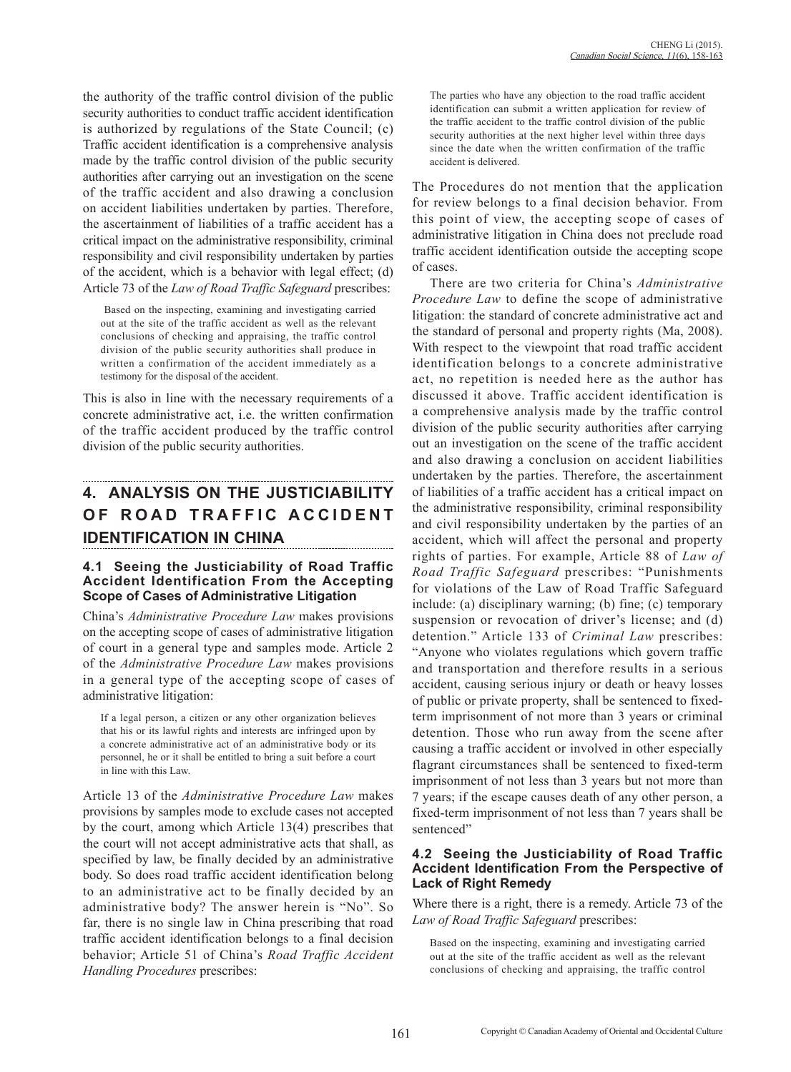the authority of the traffic control division of the public security authorities to conduct traffic accident identification is authorized by regulations of the State Council; (c) Traffic accident identification is a comprehensive analysis made by the traffic control division of the public security authorities after carrying out an investigation on the scene of the traffic accident and also drawing a conclusion on accident liabilities undertaken by parties. Therefore, the ascertainment of liabilities of a traffic accident has a critical impact on the administrative responsibility, criminal responsibility and civil responsibility undertaken by parties of the accident, which is a behavior with legal effect; (d) Article 73 of the *Law of Road Traffic Safeguard* prescribes:

 Based on the inspecting, examining and investigating carried out at the site of the traffic accident as well as the relevant conclusions of checking and appraising, the traffic control division of the public security authorities shall produce in written a confirmation of the accident immediately as a testimony for the disposal of the accident.

This is also in line with the necessary requirements of a concrete administrative act, i.e. the written confirmation of the traffic accident produced by the traffic control division of the public security authorities.

# **4. ANALYSIS ON THE JUSTICIABILITY OF ROAD TRAFFIC ACCIDENT IDENTIFICATION IN CHINA**

### **4.1 Seeing the Justiciability of Road Traffic Accident Identification From the Accepting Scope of Cases of Administrative Litigation**

China's *Administrative Procedure Law* makes provisions on the accepting scope of cases of administrative litigation of court in a general type and samples mode. Article 2 of the *Administrative Procedure Law* makes provisions in a general type of the accepting scope of cases of administrative litigation:

If a legal person, a citizen or any other organization believes that his or its lawful rights and interests are infringed upon by a concrete administrative act of an administrative body or its personnel, he or it shall be entitled to bring a suit before a court in line with this Law.

Article 13 of the *Administrative Procedure Law* makes provisions by samples mode to exclude cases not accepted by the court, among which Article 13(4) prescribes that the court will not accept administrative acts that shall, as specified by law, be finally decided by an administrative body. So does road traffic accident identification belong to an administrative act to be finally decided by an administrative body? The answer herein is "No". So far, there is no single law in China prescribing that road traffic accident identification belongs to a final decision behavior; Article 51 of China's *Road Traffic Accident Handling Procedures* prescribes:

The parties who have any objection to the road traffic accident identification can submit a written application for review of the traffic accident to the traffic control division of the public security authorities at the next higher level within three days since the date when the written confirmation of the traffic accident is delivered.

The Procedures do not mention that the application for review belongs to a final decision behavior. From this point of view, the accepting scope of cases of administrative litigation in China does not preclude road traffic accident identification outside the accepting scope of cases.

There are two criteria for China's *Administrative Procedure Law* to define the scope of administrative litigation: the standard of concrete administrative act and the standard of personal and property rights (Ma, 2008). With respect to the viewpoint that road traffic accident identification belongs to a concrete administrative act, no repetition is needed here as the author has discussed it above. Traffic accident identification is a comprehensive analysis made by the traffic control division of the public security authorities after carrying out an investigation on the scene of the traffic accident and also drawing a conclusion on accident liabilities undertaken by the parties. Therefore, the ascertainment of liabilities of a traffic accident has a critical impact on the administrative responsibility, criminal responsibility and civil responsibility undertaken by the parties of an accident, which will affect the personal and property rights of parties. For example, Article 88 of *Law of Road Traffic Safeguard* prescribes: "Punishments for violations of the Law of Road Traffic Safeguard include: (a) disciplinary warning; (b) fine; (c) temporary suspension or revocation of driver's license; and (d) detention." Article 133 of *Criminal Law* prescribes: "Anyone who violates regulations which govern traffic and transportation and therefore results in a serious accident, causing serious injury or death or heavy losses of public or private property, shall be sentenced to fixedterm imprisonment of not more than 3 years or criminal detention. Those who run away from the scene after causing a traffic accident or involved in other especially flagrant circumstances shall be sentenced to fixed-term imprisonment of not less than 3 years but not more than 7 years; if the escape causes death of any other person, a fixed-term imprisonment of not less than 7 years shall be sentenced"

### **4.2 Seeing the Justiciability of Road Traffic Accident Identification From the Perspective of Lack of Right Remedy**

Where there is a right, there is a remedy. Article 73 of the *Law of Road Traffic Safeguard* prescribes:

Based on the inspecting, examining and investigating carried out at the site of the traffic accident as well as the relevant conclusions of checking and appraising, the traffic control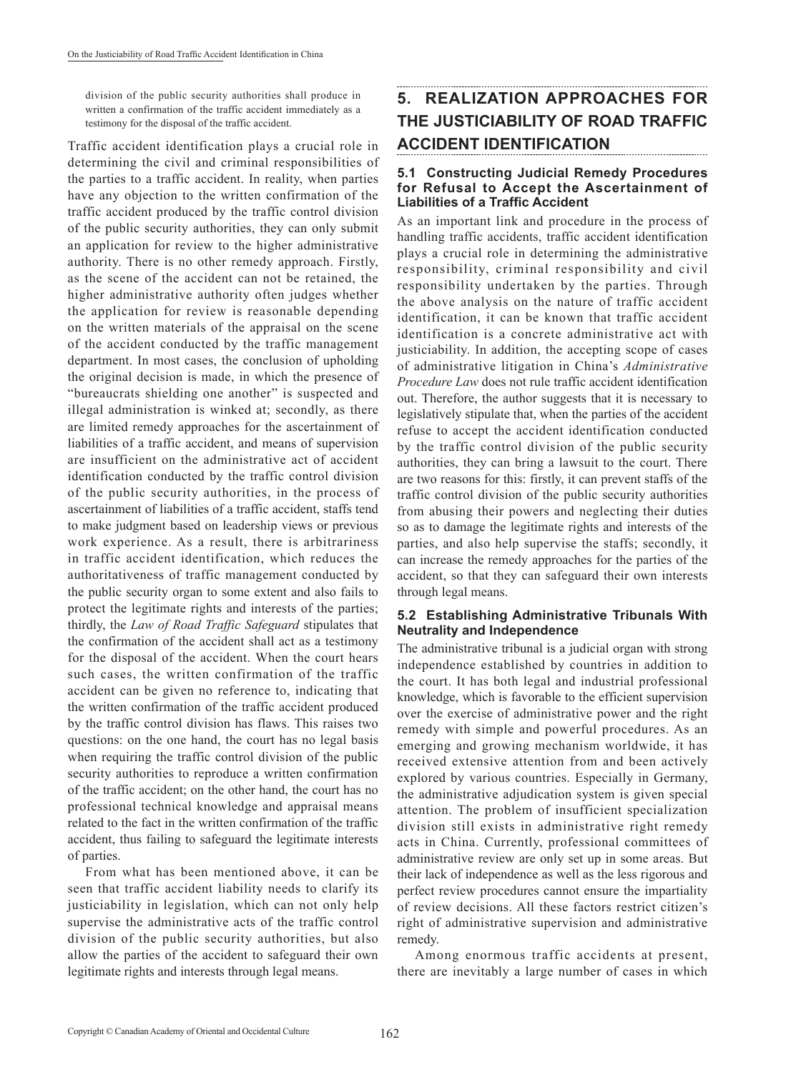division of the public security authorities shall produce in written a confirmation of the traffic accident immediately as a testimony for the disposal of the traffic accident.

Traffic accident identification plays a crucial role in determining the civil and criminal responsibilities of the parties to a traffic accident. In reality, when parties have any objection to the written confirmation of the traffic accident produced by the traffic control division of the public security authorities, they can only submit an application for review to the higher administrative authority. There is no other remedy approach. Firstly, as the scene of the accident can not be retained, the higher administrative authority often judges whether the application for review is reasonable depending on the written materials of the appraisal on the scene of the accident conducted by the traffic management department. In most cases, the conclusion of upholding the original decision is made, in which the presence of "bureaucrats shielding one another" is suspected and illegal administration is winked at; secondly, as there are limited remedy approaches for the ascertainment of liabilities of a traffic accident, and means of supervision are insufficient on the administrative act of accident identification conducted by the traffic control division of the public security authorities, in the process of ascertainment of liabilities of a traffic accident, staffs tend to make judgment based on leadership views or previous work experience. As a result, there is arbitrariness in traffic accident identification, which reduces the authoritativeness of traffic management conducted by the public security organ to some extent and also fails to protect the legitimate rights and interests of the parties; thirdly, the *Law of Road Traffic Safeguard* stipulates that the confirmation of the accident shall act as a testimony for the disposal of the accident. When the court hears such cases, the written confirmation of the traffic accident can be given no reference to, indicating that the written confirmation of the traffic accident produced by the traffic control division has flaws. This raises two questions: on the one hand, the court has no legal basis when requiring the traffic control division of the public security authorities to reproduce a written confirmation of the traffic accident; on the other hand, the court has no professional technical knowledge and appraisal means related to the fact in the written confirmation of the traffic accident, thus failing to safeguard the legitimate interests of parties.

From what has been mentioned above, it can be seen that traffic accident liability needs to clarify its justiciability in legislation, which can not only help supervise the administrative acts of the traffic control division of the public security authorities, but also allow the parties of the accident to safeguard their own legitimate rights and interests through legal means.

# **5. REALIZATION APPROACHES FOR THE JUSTICIABILITY OF ROAD TRAFFIC ACCIDENT IDENTIFICATION**

### **5.1 Constructing Judicial Remedy Procedures for Refusal to Accept the Ascertainment of Liabilities of a Traffic Accident**

As an important link and procedure in the process of handling traffic accidents, traffic accident identification plays a crucial role in determining the administrative responsibility, criminal responsibility and civil responsibility undertaken by the parties. Through the above analysis on the nature of traffic accident identification, it can be known that traffic accident identification is a concrete administrative act with justiciability. In addition, the accepting scope of cases of administrative litigation in China's *Administrative Procedure Law* does not rule traffic accident identification out. Therefore, the author suggests that it is necessary to legislatively stipulate that, when the parties of the accident refuse to accept the accident identification conducted by the traffic control division of the public security authorities, they can bring a lawsuit to the court. There are two reasons for this: firstly, it can prevent staffs of the traffic control division of the public security authorities from abusing their powers and neglecting their duties so as to damage the legitimate rights and interests of the parties, and also help supervise the staffs; secondly, it can increase the remedy approaches for the parties of the accident, so that they can safeguard their own interests through legal means.

### **5.2 Establishing Administrative Tribunals With Neutrality and Independence**

The administrative tribunal is a judicial organ with strong independence established by countries in addition to the court. It has both legal and industrial professional knowledge, which is favorable to the efficient supervision over the exercise of administrative power and the right remedy with simple and powerful procedures. As an emerging and growing mechanism worldwide, it has received extensive attention from and been actively explored by various countries. Especially in Germany, the administrative adjudication system is given special attention. The problem of insufficient specialization division still exists in administrative right remedy acts in China. Currently, professional committees of administrative review are only set up in some areas. But their lack of independence as well as the less rigorous and perfect review procedures cannot ensure the impartiality of review decisions. All these factors restrict citizen's right of administrative supervision and administrative remedy.

Among enormous traffic accidents at present, there are inevitably a large number of cases in which